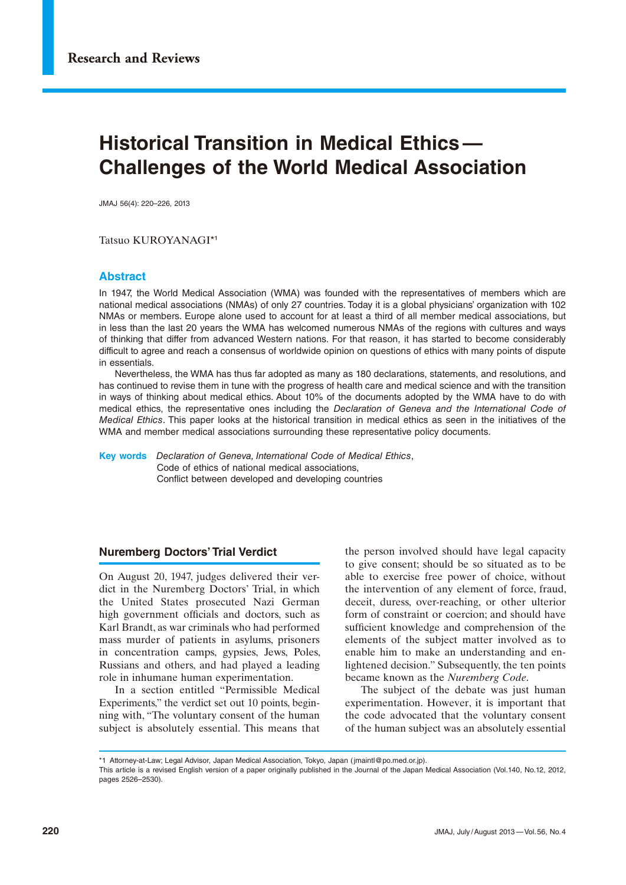# **Historical Transition in Medical Ethics — Challenges of the World Medical Association**

JMAJ 56(4): 220–226, 2013

Tatsuo KUROYANAGI\*1

#### **Abstract**

In 1947, the World Medical Association (WMA) was founded with the representatives of members which are national medical associations (NMAs) of only 27 countries. Today it is a global physicians' organization with 102 NMAs or members. Europe alone used to account for at least a third of all member medical associations, but in less than the last 20 years the WMA has welcomed numerous NMAs of the regions with cultures and ways of thinking that differ from advanced Western nations. For that reason, it has started to become considerably difficult to agree and reach a consensus of worldwide opinion on questions of ethics with many points of dispute in essentials.

Nevertheless, the WMA has thus far adopted as many as 180 declarations, statements, and resolutions, and has continued to revise them in tune with the progress of health care and medical science and with the transition in ways of thinking about medical ethics. About 10% of the documents adopted by the WMA have to do with medical ethics, the representative ones including the *Declaration of Geneva and the International Code of Medical Ethics*. This paper looks at the historical transition in medical ethics as seen in the initiatives of the WMA and member medical associations surrounding these representative policy documents.

**Key words** *Declaration of Geneva, International Code of Medical Ethics*, Code of ethics of national medical associations, Conflict between developed and developing countries

## **Nuremberg Doctors' Trial Verdict**

On August 20, 1947, judges delivered their verdict in the Nuremberg Doctors' Trial, in which the United States prosecuted Nazi German high government officials and doctors, such as Karl Brandt, as war criminals who had performed mass murder of patients in asylums, prisoners in concentration camps, gypsies, Jews, Poles, Russians and others, and had played a leading role in inhumane human experimentation.

In a section entitled "Permissible Medical Experiments," the verdict set out 10 points, beginning with, "The voluntary consent of the human subject is absolutely essential. This means that

the person involved should have legal capacity to give consent; should be so situated as to be able to exercise free power of choice, without the intervention of any element of force, fraud, deceit, duress, over-reaching, or other ulterior form of constraint or coercion; and should have sufficient knowledge and comprehension of the elements of the subject matter involved as to enable him to make an understanding and enlightened decision." Subsequently, the ten points became known as the *Nuremberg Code*.

The subject of the debate was just human experimentation. However, it is important that the code advocated that the voluntary consent of the human subject was an absolutely essential

\*1 Attorney-at-Law; Legal Advisor, Japan Medical Association, Tokyo, Japan (jmaintl@po.med.or.jp).

This article is a revised English version of a paper originally published in the Journal of the Japan Medical Association (Vol.140, No.12, 2012, pages 2526–2530).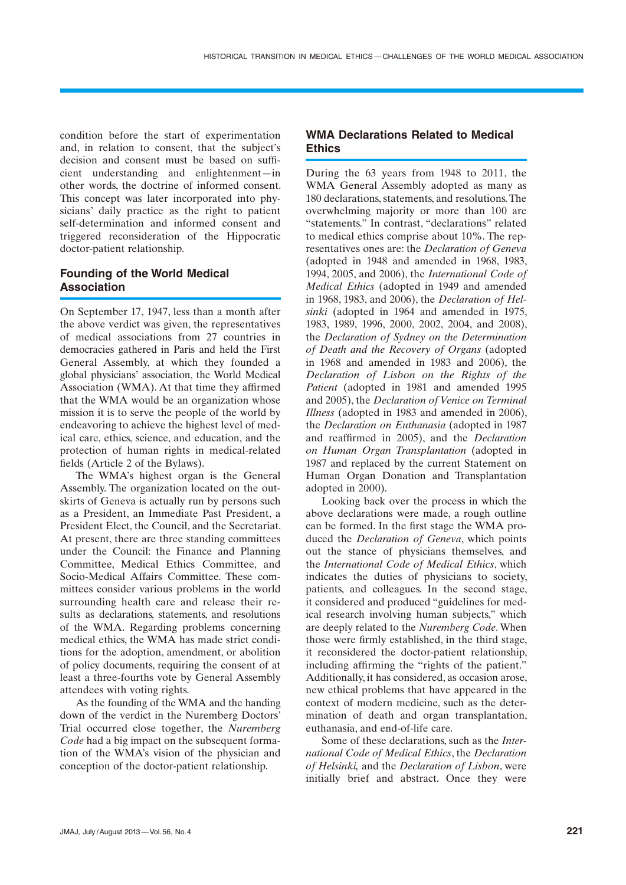condition before the start of experimentation and, in relation to consent, that the subject's decision and consent must be based on sufficient understanding and enlightenment—in other words, the doctrine of informed consent. This concept was later incorporated into physicians' daily practice as the right to patient self-determination and informed consent and triggered reconsideration of the Hippocratic doctor-patient relationship.

## **Founding of the World Medical Association**

On September 17, 1947, less than a month after the above verdict was given, the representatives of medical associations from 27 countries in democracies gathered in Paris and held the First General Assembly, at which they founded a global physicians' association, the World Medical Association (WMA). At that time they affirmed that the WMA would be an organization whose mission it is to serve the people of the world by endeavoring to achieve the highest level of medical care, ethics, science, and education, and the protection of human rights in medical-related fields (Article 2 of the Bylaws).

The WMA's highest organ is the General Assembly. The organization located on the outskirts of Geneva is actually run by persons such as a President, an Immediate Past President, a President Elect, the Council, and the Secretariat. At present, there are three standing committees under the Council: the Finance and Planning Committee, Medical Ethics Committee, and Socio-Medical Affairs Committee. These committees consider various problems in the world surrounding health care and release their results as declarations, statements, and resolutions of the WMA. Regarding problems concerning medical ethics, the WMA has made strict conditions for the adoption, amendment, or abolition of policy documents, requiring the consent of at least a three-fourths vote by General Assembly attendees with voting rights.

As the founding of the WMA and the handing down of the verdict in the Nuremberg Doctors' Trial occurred close together, the *Nuremberg Code* had a big impact on the subsequent formation of the WMA's vision of the physician and conception of the doctor-patient relationship.

# **WMA Declarations Related to Medical Ethics**

During the 63 years from 1948 to 2011, the WMA General Assembly adopted as many as 180 declarations, statements, and resolutions. The overwhelming majority or more than 100 are "statements." In contrast, "declarations" related to medical ethics comprise about 10%. The representatives ones are: the *Declaration of Geneva* (adopted in 1948 and amended in 1968, 1983, 1994, 2005, and 2006), the *International Code of Medical Ethics* (adopted in 1949 and amended in 1968, 1983, and 2006), the *Declaration of Helsinki* (adopted in 1964 and amended in 1975, 1983, 1989, 1996, 2000, 2002, 2004, and 2008), the *Declaration of Sydney on the Determination of Death and the Recovery of Organs* (adopted in 1968 and amended in 1983 and 2006), the *Declaration of Lisbon on the Rights of the Patient* (adopted in 1981 and amended 1995 and 2005), the *Declaration of Venice on Terminal Illness* (adopted in 1983 and amended in 2006), the *Declaration on Euthanasia* (adopted in 1987 and reaffirmed in 2005), and the *Declaration on Human Organ Transplantation* (adopted in 1987 and replaced by the current Statement on Human Organ Donation and Transplantation adopted in 2000).

Looking back over the process in which the above declarations were made, a rough outline can be formed. In the first stage the WMA produced the *Declaration of Geneva*, which points out the stance of physicians themselves, and the *International Code of Medical Ethics*, which indicates the duties of physicians to society, patients, and colleagues. In the second stage, it considered and produced "guidelines for medical research involving human subjects," which are deeply related to the *Nuremberg Code*. When those were firmly established, in the third stage, it reconsidered the doctor-patient relationship, including affirming the "rights of the patient." Additionally, it has considered, as occasion arose, new ethical problems that have appeared in the context of modern medicine, such as the determination of death and organ transplantation, euthanasia, and end-of-life care.

Some of these declarations, such as the *International Code of Medical Ethics*, the *Declaration of Helsinki,* and the *Declaration of Lisbon*, were initially brief and abstract. Once they were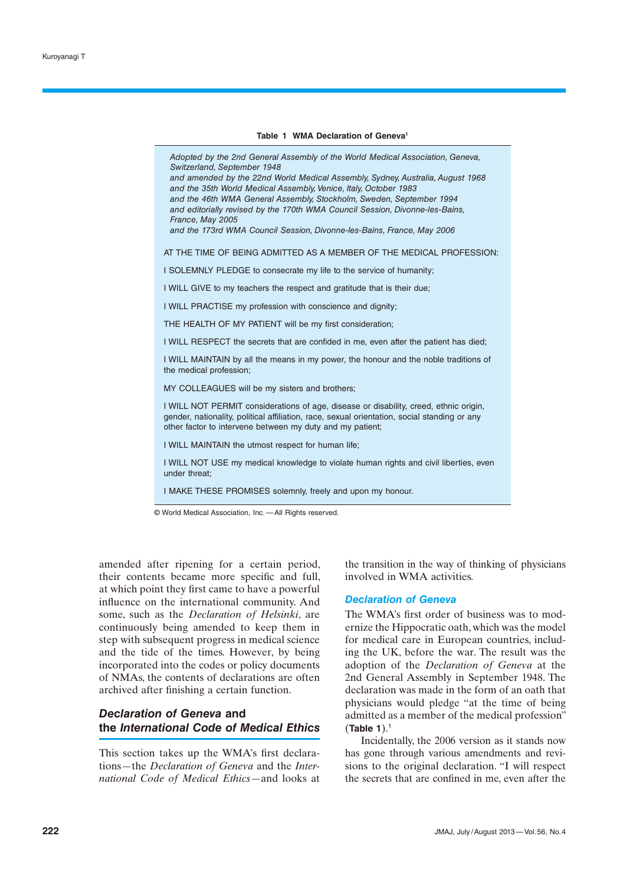#### Table 1 WMA Declaration of Geneva<sup>1</sup>

*Adopted by the 2nd General Assembly of the World Medical Association, Geneva, Switzerland, September 1948 and amended by the 22nd World Medical Assembly, Sydney, Australia, August 1968 and the 35th World Medical Assembly, Venice, Italy, October 1983 and the 46th WMA General Assembly, Stockholm, Sweden, September 1994 and editorially revised by the 170th WMA Council Session, Divonne-les-Bains, France, May 2005 and the 173rd WMA Council Session, Divonne-les-Bains, France, May 2006* AT THE TIME OF BEING ADMITTED AS A MEMBER OF THE MEDICAL PROFESSION: I SOLEMNLY PLEDGE to consecrate my life to the service of humanity; I WILL GIVE to my teachers the respect and gratitude that is their due; I WILL PRACTISE my profession with conscience and dignity; THE HEALTH OF MY PATIENT will be my first consideration; I WILL RESPECT the secrets that are confided in me, even after the patient has died; I WILL MAINTAIN by all the means in my power, the honour and the noble traditions of the medical profession; MY COLLEAGUES will be my sisters and brothers; I WILL NOT PERMIT considerations of age, disease or disability, creed, ethnic origin, gender, nationality, political affiliation, race, sexual orientation, social standing or any other factor to intervene between my duty and my patient; I WILL MAINTAIN the utmost respect for human life; I WILL NOT USE my medical knowledge to violate human rights and civil liberties, even under threat; I MAKE THESE PROMISES solemnly, freely and upon my honour.

© World Medical Association, Inc. — All Rights reserved.

amended after ripening for a certain period, their contents became more specific and full, at which point they first came to have a powerful influence on the international community. And some, such as the *Declaration of Helsinki*, are continuously being amended to keep them in step with subsequent progress in medical science and the tide of the times. However, by being incorporated into the codes or policy documents of NMAs, the contents of declarations are often archived after finishing a certain function.

## *Declaration of Geneva* **and the** *International Code of Medical Ethics*

This section takes up the WMA's first declarations—the *Declaration of Geneva* and the *International Code of Medical Ethics*—and looks at the transition in the way of thinking of physicians involved in WMA activities.

#### *Declaration of Geneva*

The WMA's first order of business was to modernize the Hippocratic oath, which was the model for medical care in European countries, including the UK, before the war. The result was the adoption of the *Declaration of Geneva* at the 2nd General Assembly in September 1948. The declaration was made in the form of an oath that physicians would pledge "at the time of being admitted as a member of the medical profession" (**Table 1**).<sup>1</sup>

Incidentally, the 2006 version as it stands now has gone through various amendments and revisions to the original declaration. "I will respect the secrets that are confined in me, even after the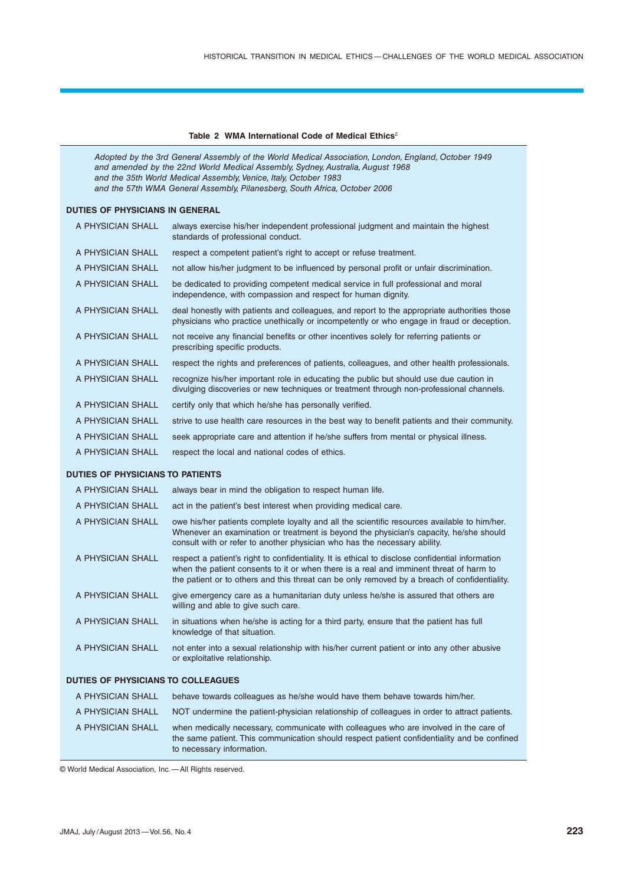#### **Table 2 WMA International Code of Medical Ethics**<sup>2</sup>

*Adopted by the 3rd General Assembly of the World Medical Association, London, England, October 1949 and amended by the 22nd World Medical Assembly, Sydney, Australia, August 1968 and the 35th World Medical Assembly, Venice, Italy, October 1983 and the 57th WMA General Assembly, Pilanesberg, South Africa, October 2006* **DUTIES OF PHYSICIANS IN GENERAL** A PHYSICIAN SHALL always exercise his/her independent professional judgment and maintain the highest standards of professional conduct. A PHYSICIAN SHALL respect a competent patient's right to accept or refuse treatment. A PHYSICIAN SHALL not allow his/her judgment to be influenced by personal profit or unfair discrimination. A PHYSICIAN SHALL be dedicated to providing competent medical service in full professional and moral independence, with compassion and respect for human dignity. A PHYSICIAN SHALL deal honestly with patients and colleagues, and report to the appropriate authorities those physicians who practice unethically or incompetently or who engage in fraud or deception. A PHYSICIAN SHALL not receive any financial benefits or other incentives solely for referring patients or prescribing specific products. A PHYSICIAN SHALL respect the rights and preferences of patients, colleagues, and other health professionals. A PHYSICIAN SHALL recognize his/her important role in educating the public but should use due caution in divulging discoveries or new techniques or treatment through non-professional channels. A PHYSICIAN SHALL certify only that which he/she has personally verified. A PHYSICIAN SHALL strive to use health care resources in the best way to benefit patients and their community. A PHYSICIAN SHALL seek appropriate care and attention if he/she suffers from mental or physical illness. A PHYSICIAN SHALL respect the local and national codes of ethics. **DUTIES OF PHYSICIANS TO PATIENTS** A PHYSICIAN SHALL always bear in mind the obligation to respect human life. A PHYSICIAN SHALL act in the patient's best interest when providing medical care. A PHYSICIAN SHALL owe his/her patients complete loyalty and all the scientific resources available to him/her. Whenever an examination or treatment is beyond the physician's capacity, he/she should consult with or refer to another physician who has the necessary ability. A PHYSICIAN SHALL respect a patient's right to confidentiality. It is ethical to disclose confidential information when the patient consents to it or when there is a real and imminent threat of harm to the patient or to others and this threat can be only removed by a breach of confidentiality. A PHYSICIAN SHALL give emergency care as a humanitarian duty unless he/she is assured that others are willing and able to give such care. A PHYSICIAN SHALL in situations when he/she is acting for a third party, ensure that the patient has full knowledge of that situation. A PHYSICIAN SHALL not enter into a sexual relationship with his/her current patient or into any other abusive or exploitative relationship. **DUTIES OF PHYSICIANS TO COLLEAGUES** A PHYSICIAN SHALL behave towards colleagues as he/she would have them behave towards him/her. A PHYSICIAN SHALL NOT undermine the patient-physician relationship of colleagues in order to attract patients. A PHYSICIAN SHALL when medically necessary, communicate with colleagues who are involved in the care of the same patient. This communication should respect patient confidentiality and be confined

© World Medical Association, Inc. — All Rights reserved.

to necessary information.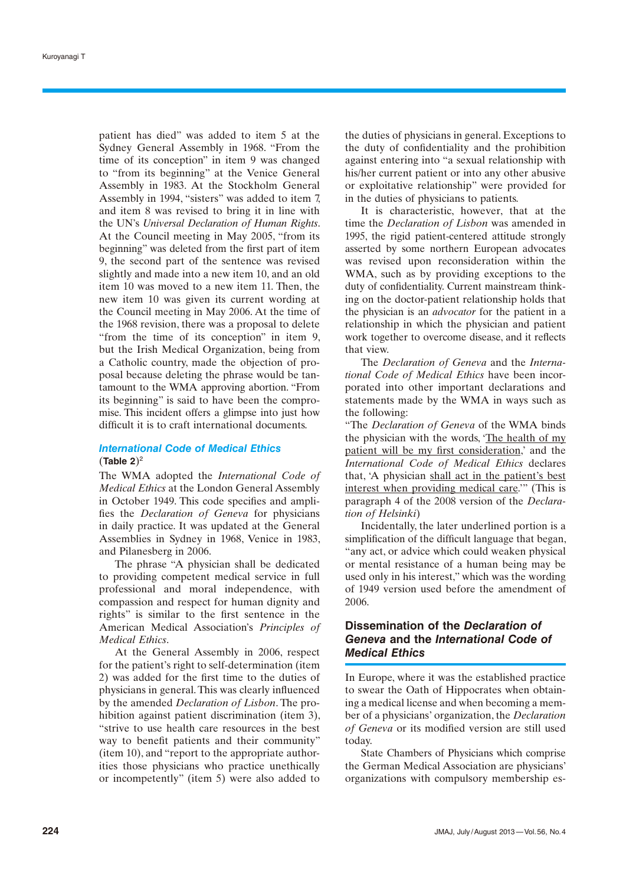patient has died" was added to item 5 at the Sydney General Assembly in 1968. "From the time of its conception" in item 9 was changed to "from its beginning" at the Venice General Assembly in 1983. At the Stockholm General Assembly in 1994, "sisters" was added to item 7, and item 8 was revised to bring it in line with the UN's *Universal Declaration of Human Rights*. At the Council meeting in May 2005, "from its beginning" was deleted from the first part of item 9, the second part of the sentence was revised slightly and made into a new item 10, and an old item 10 was moved to a new item 11. Then, the new item 10 was given its current wording at the Council meeting in May 2006. At the time of the 1968 revision, there was a proposal to delete "from the time of its conception" in item 9, but the Irish Medical Organization, being from a Catholic country, made the objection of proposal because deleting the phrase would be tantamount to the WMA approving abortion. "From its beginning" is said to have been the compromise. This incident offers a glimpse into just how difficult it is to craft international documents.

## *International Code of Medical Ethics*  $($ Table 2 $)^2$

The WMA adopted the *International Code of Medical Ethics* at the London General Assembly in October 1949. This code specifies and amplifies the *Declaration of Geneva* for physicians in daily practice. It was updated at the General Assemblies in Sydney in 1968, Venice in 1983, and Pilanesberg in 2006.

The phrase "A physician shall be dedicated to providing competent medical service in full professional and moral independence, with compassion and respect for human dignity and rights" is similar to the first sentence in the American Medical Association's *Principles of Medical Ethics*.

At the General Assembly in 2006, respect for the patient's right to self-determination (item 2) was added for the first time to the duties of physicians in general. This was clearly influenced by the amended *Declaration of Lisbon*. The prohibition against patient discrimination (item 3), "strive to use health care resources in the best way to benefit patients and their community" (item 10), and "report to the appropriate authorities those physicians who practice unethically or incompetently" (item 5) were also added to

the duties of physicians in general. Exceptions to the duty of confidentiality and the prohibition against entering into "a sexual relationship with his/her current patient or into any other abusive or exploitative relationship" were provided for in the duties of physicians to patients.

It is characteristic, however, that at the time the *Declaration of Lisbon* was amended in 1995, the rigid patient-centered attitude strongly asserted by some northern European advocates was revised upon reconsideration within the WMA, such as by providing exceptions to the duty of confidentiality. Current mainstream thinking on the doctor-patient relationship holds that the physician is an *advocator* for the patient in a relationship in which the physician and patient work together to overcome disease, and it reflects that view.

The *Declaration of Geneva* and the *International Code of Medical Ethics* have been incorporated into other important declarations and statements made by the WMA in ways such as the following:

"The *Declaration of Geneva* of the WMA binds the physician with the words, 'The health of my patient will be my first consideration,' and the *International Code of Medical Ethics* declares that, 'A physician shall act in the patient's best interest when providing medical care.'" (This is paragraph 4 of the 2008 version of the *Declaration of Helsinki*)

Incidentally, the later underlined portion is a simplification of the difficult language that began, "any act, or advice which could weaken physical or mental resistance of a human being may be used only in his interest," which was the wording of 1949 version used before the amendment of 2006.

# **Dissemination of the** *Declaration of Geneva* **and the** *International Code of Medical Ethics*

In Europe, where it was the established practice to swear the Oath of Hippocrates when obtaining a medical license and when becoming a member of a physicians' organization, the *Declaration of Geneva* or its modified version are still used today.

State Chambers of Physicians which comprise the German Medical Association are physicians' organizations with compulsory membership es-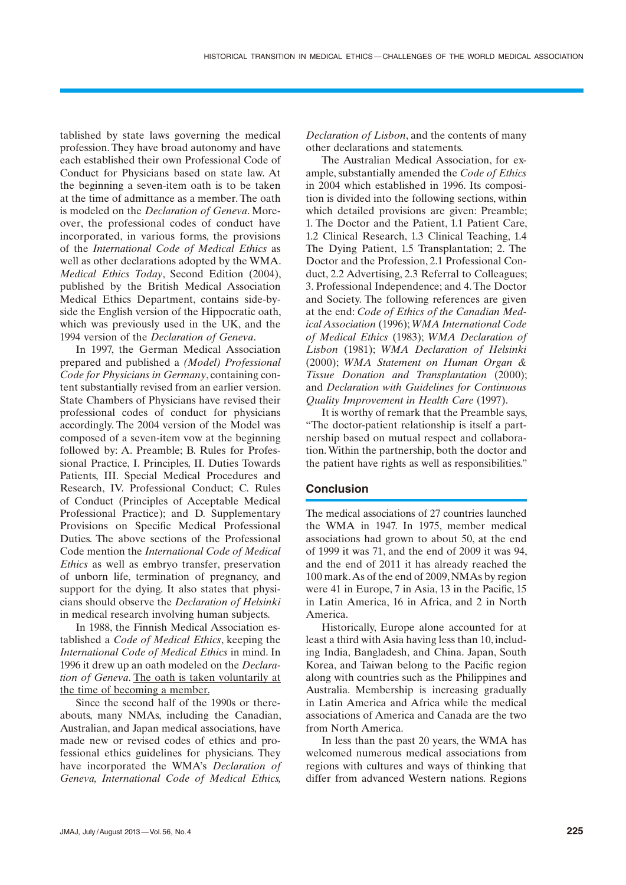tablished by state laws governing the medical profession. They have broad autonomy and have each established their own Professional Code of Conduct for Physicians based on state law. At the beginning a seven-item oath is to be taken at the time of admittance as a member. The oath is modeled on the *Declaration of Geneva*. Moreover, the professional codes of conduct have incorporated, in various forms, the provisions of the *International Code of Medical Ethics* as well as other declarations adopted by the WMA. *Medical Ethics Today*, Second Edition (2004), published by the British Medical Association Medical Ethics Department, contains side-byside the English version of the Hippocratic oath, which was previously used in the UK, and the 1994 version of the *Declaration of Geneva*.

In 1997, the German Medical Association prepared and published a *(Model) Professional Code for Physicians in Germany*, containing content substantially revised from an earlier version. State Chambers of Physicians have revised their professional codes of conduct for physicians accordingly. The 2004 version of the Model was composed of a seven-item vow at the beginning followed by: A. Preamble; B. Rules for Professional Practice, I. Principles, II. Duties Towards Patients, III. Special Medical Procedures and Research, IV. Professional Conduct; C. Rules of Conduct (Principles of Acceptable Medical Professional Practice); and D. Supplementary Provisions on Specific Medical Professional Duties. The above sections of the Professional Code mention the *International Code of Medical Ethics* as well as embryo transfer, preservation of unborn life, termination of pregnancy, and support for the dying. It also states that physicians should observe the *Declaration of Helsinki*  in medical research involving human subjects.

In 1988, the Finnish Medical Association established a *Code of Medical Ethics*, keeping the *International Code of Medical Ethics* in mind. In 1996 it drew up an oath modeled on the *Declaration of Geneva*. The oath is taken voluntarily at the time of becoming a member.

Since the second half of the 1990s or thereabouts, many NMAs, including the Canadian, Australian, and Japan medical associations, have made new or revised codes of ethics and professional ethics guidelines for physicians. They have incorporated the WMA's *Declaration of Geneva, International Code of Medical Ethics,* 

*Declaration of Lisbon*, and the contents of many other declarations and statements.

The Australian Medical Association, for example, substantially amended the *Code of Ethics* in 2004 which established in 1996. Its composition is divided into the following sections, within which detailed provisions are given: Preamble; 1. The Doctor and the Patient, 1.1 Patient Care, 1.2 Clinical Research, 1.3 Clinical Teaching, 1.4 The Dying Patient, 1.5 Transplantation; 2. The Doctor and the Profession, 2.1 Professional Conduct, 2.2 Advertising, 2.3 Referral to Colleagues; 3. Professional Independence; and 4. The Doctor and Society. The following references are given at the end: *Code of Ethics of the Canadian Medical Association* (1996); *WMA International Code of Medical Ethics* (1983); *WMA Declaration of Lisbon* (1981); *WMA Declaration of Helsinki* (2000); *WMA Statement on Human Organ & Tissue Donation and Transplantation* (2000); and *Declaration with Guidelines for Continuous Quality Improvement in Health Care* (1997).

It is worthy of remark that the Preamble says, "The doctor-patient relationship is itself a partnership based on mutual respect and collaboration. Within the partnership, both the doctor and the patient have rights as well as responsibilities."

#### **Conclusion**

The medical associations of 27 countries launched the WMA in 1947. In 1975, member medical associations had grown to about 50, at the end of 1999 it was 71, and the end of 2009 it was 94, and the end of 2011 it has already reached the 100 mark. As of the end of 2009, NMAs by region were 41 in Europe, 7 in Asia, 13 in the Pacific, 15 in Latin America, 16 in Africa, and 2 in North America.

Historically, Europe alone accounted for at least a third with Asia having less than 10, including India, Bangladesh, and China. Japan, South Korea, and Taiwan belong to the Pacific region along with countries such as the Philippines and Australia. Membership is increasing gradually in Latin America and Africa while the medical associations of America and Canada are the two from North America.

In less than the past 20 years, the WMA has welcomed numerous medical associations from regions with cultures and ways of thinking that differ from advanced Western nations. Regions